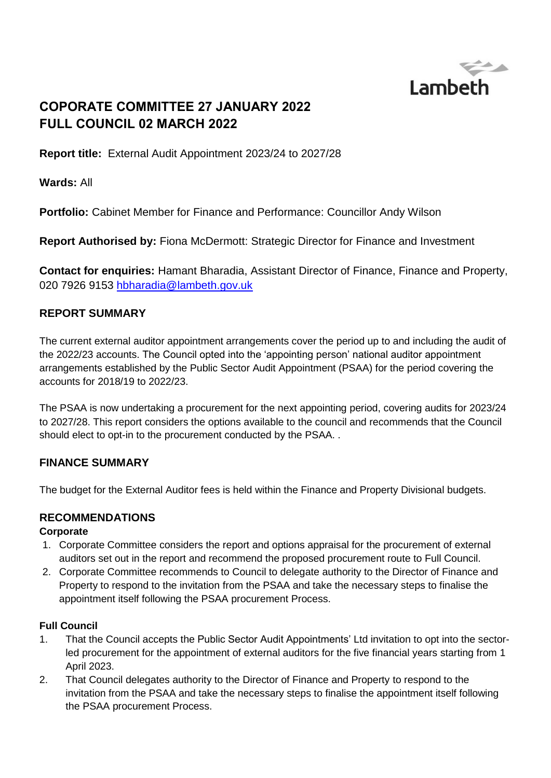

# **COPORATE COMMITTEE 27 JANUARY 2022 FULL COUNCIL 02 MARCH 2022**

**Report title:** External Audit Appointment 2023/24 to 2027/28

**Wards:** All

**Portfolio:** Cabinet Member for Finance and Performance: Councillor Andy Wilson

**Report Authorised by:** Fiona McDermott: Strategic Director for Finance and Investment

**Contact for enquiries:** Hamant Bharadia, Assistant Director of Finance, Finance and Property, 020 7926 9153 [hbharadia@lambeth.gov.uk](mailto:hbharadia@lambeth.gov.uk)

## **REPORT SUMMARY**

The current external auditor appointment arrangements cover the period up to and including the audit of the 2022/23 accounts. The Council opted into the 'appointing person' national auditor appointment arrangements established by the Public Sector Audit Appointment (PSAA) for the period covering the accounts for 2018/19 to 2022/23.

The PSAA is now undertaking a procurement for the next appointing period, covering audits for 2023/24 to 2027/28. This report considers the options available to the council and recommends that the Council should elect to opt-in to the procurement conducted by the PSAA. .

## **FINANCE SUMMARY**

The budget for the External Auditor fees is held within the Finance and Property Divisional budgets.

# **RECOMMENDATIONS**

### **Corporate**

- 1. Corporate Committee considers the report and options appraisal for the procurement of external auditors set out in the report and recommend the proposed procurement route to Full Council.
- 2. Corporate Committee recommends to Council to delegate authority to the Director of Finance and Property to respond to the invitation from the PSAA and take the necessary steps to finalise the appointment itself following the PSAA procurement Process.

### **Full Council**

- 1. That the Council accepts the Public Sector Audit Appointments' Ltd invitation to opt into the sectorled procurement for the appointment of external auditors for the five financial years starting from 1 April 2023.
- 2. That Council delegates authority to the Director of Finance and Property to respond to the invitation from the PSAA and take the necessary steps to finalise the appointment itself following the PSAA procurement Process.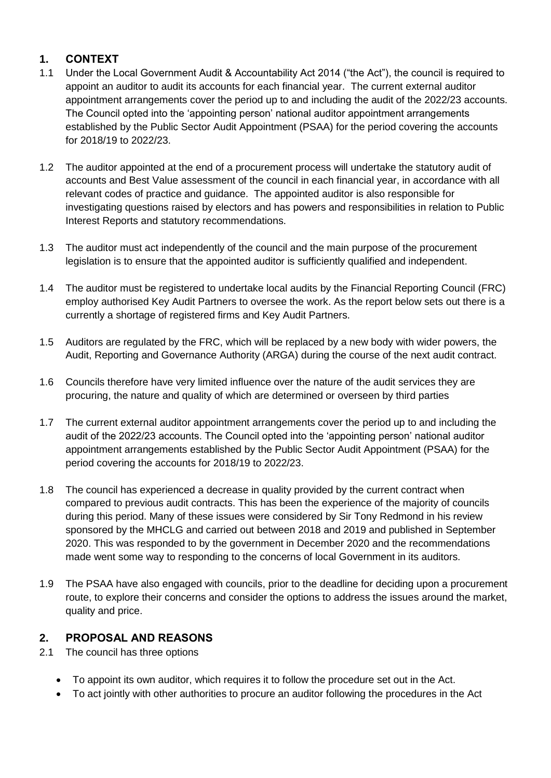## **1. CONTEXT**

- 1.1 Under the Local Government Audit & Accountability Act 2014 ("the Act"), the council is required to appoint an auditor to audit its accounts for each financial year. The current external auditor appointment arrangements cover the period up to and including the audit of the 2022/23 accounts. The Council opted into the 'appointing person' national auditor appointment arrangements established by the Public Sector Audit Appointment (PSAA) for the period covering the accounts for 2018/19 to 2022/23.
- 1.2 The auditor appointed at the end of a procurement process will undertake the statutory audit of accounts and Best Value assessment of the council in each financial year, in accordance with all relevant codes of practice and guidance. The appointed auditor is also responsible for investigating questions raised by electors and has powers and responsibilities in relation to Public Interest Reports and statutory recommendations.
- 1.3 The auditor must act independently of the council and the main purpose of the procurement legislation is to ensure that the appointed auditor is sufficiently qualified and independent.
- 1.4 The auditor must be registered to undertake local audits by the Financial Reporting Council (FRC) employ authorised Key Audit Partners to oversee the work. As the report below sets out there is a currently a shortage of registered firms and Key Audit Partners.
- 1.5 Auditors are regulated by the FRC, which will be replaced by a new body with wider powers, the Audit, Reporting and Governance Authority (ARGA) during the course of the next audit contract.
- 1.6 Councils therefore have very limited influence over the nature of the audit services they are procuring, the nature and quality of which are determined or overseen by third parties
- 1.7 The current external auditor appointment arrangements cover the period up to and including the audit of the 2022/23 accounts. The Council opted into the 'appointing person' national auditor appointment arrangements established by the Public Sector Audit Appointment (PSAA) for the period covering the accounts for 2018/19 to 2022/23.
- 1.8 The council has experienced a decrease in quality provided by the current contract when compared to previous audit contracts. This has been the experience of the majority of councils during this period. Many of these issues were considered by Sir Tony Redmond in his review sponsored by the MHCLG and carried out between 2018 and 2019 and published in September 2020. This was responded to by the government in December 2020 and the recommendations made went some way to responding to the concerns of local Government in its auditors.
- 1.9 The PSAA have also engaged with councils, prior to the deadline for deciding upon a procurement route, to explore their concerns and consider the options to address the issues around the market, quality and price.

## **2. PROPOSAL AND REASONS**

- 2.1 The council has three options
	- To appoint its own auditor, which requires it to follow the procedure set out in the Act.
	- To act jointly with other authorities to procure an auditor following the procedures in the Act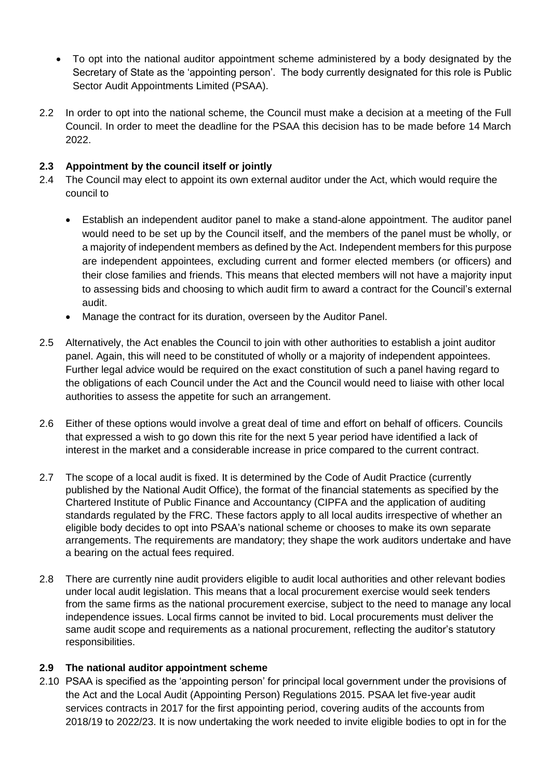- To opt into the national auditor appointment scheme administered by a body designated by the Secretary of State as the 'appointing person'. The body currently designated for this role is Public Sector Audit Appointments Limited (PSAA).
- 2.2 In order to opt into the national scheme, the Council must make a decision at a meeting of the Full Council. In order to meet the deadline for the PSAA this decision has to be made before 14 March 2022.

## **2.3 Appointment by the council itself or jointly**

- 2.4 The Council may elect to appoint its own external auditor under the Act, which would require the council to
	- Establish an independent auditor panel to make a stand-alone appointment. The auditor panel would need to be set up by the Council itself, and the members of the panel must be wholly, or a majority of independent members as defined by the Act. Independent members for this purpose are independent appointees, excluding current and former elected members (or officers) and their close families and friends. This means that elected members will not have a majority input to assessing bids and choosing to which audit firm to award a contract for the Council's external audit.
	- Manage the contract for its duration, overseen by the Auditor Panel.
- 2.5 Alternatively, the Act enables the Council to join with other authorities to establish a joint auditor panel. Again, this will need to be constituted of wholly or a majority of independent appointees. Further legal advice would be required on the exact constitution of such a panel having regard to the obligations of each Council under the Act and the Council would need to liaise with other local authorities to assess the appetite for such an arrangement.
- 2.6 Either of these options would involve a great deal of time and effort on behalf of officers. Councils that expressed a wish to go down this rite for the next 5 year period have identified a lack of interest in the market and a considerable increase in price compared to the current contract.
- 2.7 The scope of a local audit is fixed. It is determined by the Code of Audit Practice (currently published by the National Audit Office), the format of the financial statements as specified by the Chartered Institute of Public Finance and Accountancy (CIPFA and the application of auditing standards regulated by the FRC. These factors apply to all local audits irrespective of whether an eligible body decides to opt into PSAA's national scheme or chooses to make its own separate arrangements. The requirements are mandatory; they shape the work auditors undertake and have a bearing on the actual fees required.
- 2.8 There are currently nine audit providers eligible to audit local authorities and other relevant bodies under local audit legislation. This means that a local procurement exercise would seek tenders from the same firms as the national procurement exercise, subject to the need to manage any local independence issues. Local firms cannot be invited to bid. Local procurements must deliver the same audit scope and requirements as a national procurement, reflecting the auditor's statutory responsibilities.

### **2.9 The national auditor appointment scheme**

2.10 PSAA is specified as the 'appointing person' for principal local government under the provisions of the Act and the Local Audit (Appointing Person) Regulations 2015. PSAA let five-year audit services contracts in 2017 for the first appointing period, covering audits of the accounts from 2018/19 to 2022/23. It is now undertaking the work needed to invite eligible bodies to opt in for the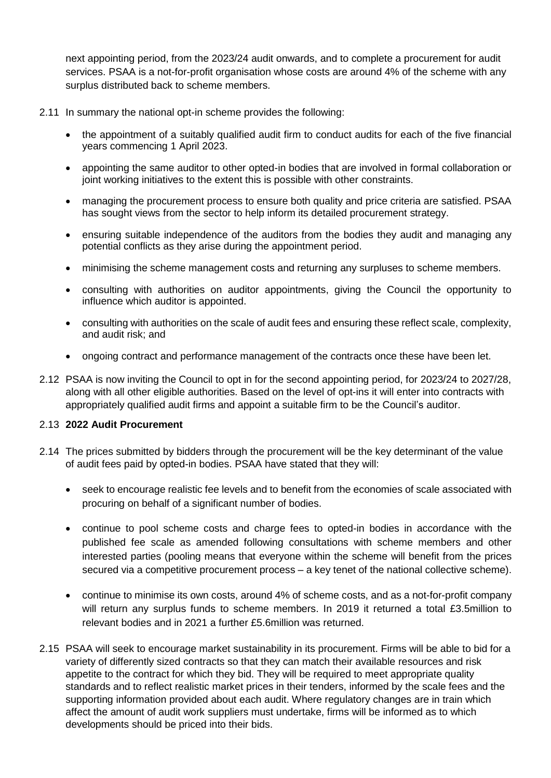next appointing period, from the 2023/24 audit onwards, and to complete a procurement for audit services. PSAA is a not-for-profit organisation whose costs are around 4% of the scheme with any surplus distributed back to scheme members.

- 2.11 In summary the national opt-in scheme provides the following:
	- the appointment of a suitably qualified audit firm to conduct audits for each of the five financial years commencing 1 April 2023.
	- appointing the same auditor to other opted-in bodies that are involved in formal collaboration or joint working initiatives to the extent this is possible with other constraints.
	- managing the procurement process to ensure both quality and price criteria are satisfied. PSAA has sought views from the sector to help inform its detailed procurement strategy.
	- ensuring suitable independence of the auditors from the bodies they audit and managing any potential conflicts as they arise during the appointment period.
	- minimising the scheme management costs and returning any surpluses to scheme members.
	- consulting with authorities on auditor appointments, giving the Council the opportunity to influence which auditor is appointed.
	- consulting with authorities on the scale of audit fees and ensuring these reflect scale, complexity, and audit risk; and
	- ongoing contract and performance management of the contracts once these have been let.
- 2.12 PSAA is now inviting the Council to opt in for the second appointing period, for 2023/24 to 2027/28, along with all other eligible authorities. Based on the level of opt-ins it will enter into contracts with appropriately qualified audit firms and appoint a suitable firm to be the Council's auditor.

#### 2.13 **2022 Audit Procurement**

- 2.14 The prices submitted by bidders through the procurement will be the key determinant of the value of audit fees paid by opted-in bodies. PSAA have stated that they will:
	- seek to encourage realistic fee levels and to benefit from the economies of scale associated with procuring on behalf of a significant number of bodies.
	- continue to pool scheme costs and charge fees to opted-in bodies in accordance with the published fee scale as amended following consultations with scheme members and other interested parties (pooling means that everyone within the scheme will benefit from the prices secured via a competitive procurement process – a key tenet of the national collective scheme).
	- continue to minimise its own costs, around 4% of scheme costs, and as a not-for-profit company will return any surplus funds to scheme members. In 2019 it returned a total £3.5million to relevant bodies and in 2021 a further £5.6million was returned.
- 2.15 PSAA will seek to encourage market sustainability in its procurement. Firms will be able to bid for a variety of differently sized contracts so that they can match their available resources and risk appetite to the contract for which they bid. They will be required to meet appropriate quality standards and to reflect realistic market prices in their tenders, informed by the scale fees and the supporting information provided about each audit. Where regulatory changes are in train which affect the amount of audit work suppliers must undertake, firms will be informed as to which developments should be priced into their bids.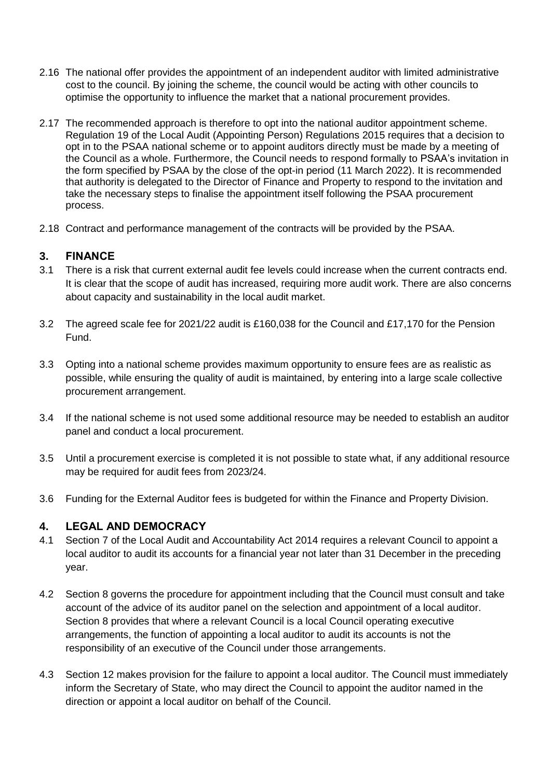- 2.16 The national offer provides the appointment of an independent auditor with limited administrative cost to the council. By joining the scheme, the council would be acting with other councils to optimise the opportunity to influence the market that a national procurement provides.
- 2.17 The recommended approach is therefore to opt into the national auditor appointment scheme. Regulation 19 of the Local Audit (Appointing Person) Regulations 2015 requires that a decision to opt in to the PSAA national scheme or to appoint auditors directly must be made by a meeting of the Council as a whole. Furthermore, the Council needs to respond formally to PSAA's invitation in the form specified by PSAA by the close of the opt-in period (11 March 2022). It is recommended that authority is delegated to the Director of Finance and Property to respond to the invitation and take the necessary steps to finalise the appointment itself following the PSAA procurement process.
- 2.18 Contract and performance management of the contracts will be provided by the PSAA.

## **3. FINANCE**

- 3.1 There is a risk that current external audit fee levels could increase when the current contracts end. It is clear that the scope of audit has increased, requiring more audit work. There are also concerns about capacity and sustainability in the local audit market.
- 3.2 The agreed scale fee for 2021/22 audit is £160,038 for the Council and £17,170 for the Pension Fund.
- 3.3 Opting into a national scheme provides maximum opportunity to ensure fees are as realistic as possible, while ensuring the quality of audit is maintained, by entering into a large scale collective procurement arrangement.
- 3.4 If the national scheme is not used some additional resource may be needed to establish an auditor panel and conduct a local procurement.
- 3.5 Until a procurement exercise is completed it is not possible to state what, if any additional resource may be required for audit fees from 2023/24.
- 3.6 Funding for the External Auditor fees is budgeted for within the Finance and Property Division.

### **4. LEGAL AND DEMOCRACY**

- 4.1 Section 7 of the Local Audit and Accountability Act 2014 requires a relevant Council to appoint a local auditor to audit its accounts for a financial year not later than 31 December in the preceding year.
- 4.2 Section 8 governs the procedure for appointment including that the Council must consult and take account of the advice of its auditor panel on the selection and appointment of a local auditor. Section 8 provides that where a relevant Council is a local Council operating executive arrangements, the function of appointing a local auditor to audit its accounts is not the responsibility of an executive of the Council under those arrangements.
- 4.3 Section 12 makes provision for the failure to appoint a local auditor. The Council must immediately inform the Secretary of State, who may direct the Council to appoint the auditor named in the direction or appoint a local auditor on behalf of the Council.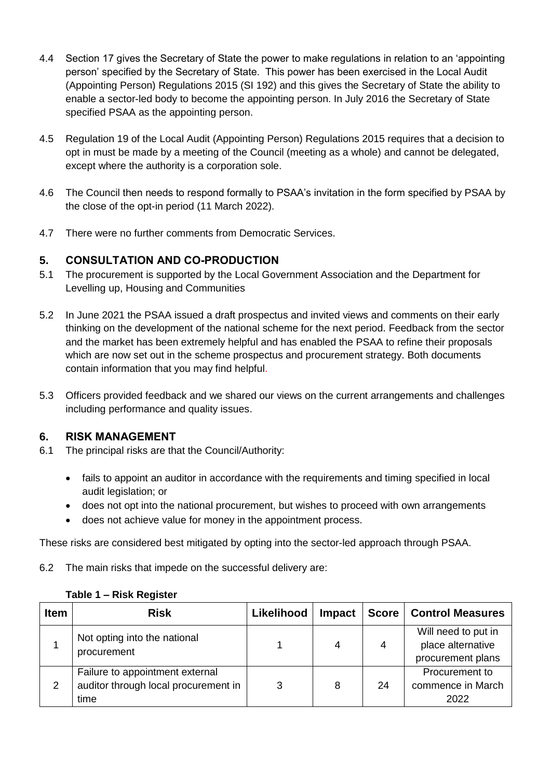- 4.4 Section 17 gives the Secretary of State the power to make regulations in relation to an 'appointing person' specified by the Secretary of State. This power has been exercised in the Local Audit (Appointing Person) Regulations 2015 (SI 192) and this gives the Secretary of State the ability to enable a sector-led body to become the appointing person. In July 2016 the Secretary of State specified PSAA as the appointing person.
- 4.5 Regulation 19 of the Local Audit (Appointing Person) Regulations 2015 requires that a decision to opt in must be made by a meeting of the Council (meeting as a whole) and cannot be delegated, except where the authority is a corporation sole.
- 4.6 The Council then needs to respond formally to PSAA's invitation in the form specified by PSAA by the close of the opt-in period (11 March 2022).
- 4.7 There were no further comments from Democratic Services.

## **5. CONSULTATION AND CO-PRODUCTION**

- 5.1 The procurement is supported by the Local Government Association and the Department for Levelling up, Housing and Communities
- 5.2 In June 2021 the PSAA issued a draft prospectus and invited views and comments on their early thinking on the development of the national scheme for the next period. [Feedback from the sector](https://www.psaa.co.uk/about-us/appointing-person-information/appointing-period-2023-24-2027-28/prospectus-2023-and-beyond/response-to-consultations-on-proposed-arrangements-for-the-appointing-period-starting-april-2023/)  [and the market](https://www.psaa.co.uk/about-us/appointing-person-information/appointing-period-2023-24-2027-28/prospectus-2023-and-beyond/response-to-consultations-on-proposed-arrangements-for-the-appointing-period-starting-april-2023/) has been extremely helpful and has enabled the PSAA to refine their proposals which are now set out in [the scheme prospectus](https://www.psaa.co.uk/about-us/appointing-person-information/appointing-period-2023-24-2027-28/prospectus-2023-and-beyond/) and [procurement strategy.](https://www.psaa.co.uk/about-us/appointing-person-information/appointing-period-2023-24-2027-28/procurement-strategy/) Both documents contain information that you may find helpful.
- 5.3 Officers provided feedback and we shared our views on the current arrangements and challenges including performance and quality issues.

### **6. RISK MANAGEMENT**

- 6.1 The principal risks are that the Council/Authority:
	- fails to appoint an auditor in accordance with the requirements and timing specified in local audit legislation; or
	- does not opt into the national procurement, but wishes to proceed with own arrangements
	- does not achieve value for money in the appointment process.

These risks are considered best mitigated by opting into the sector-led approach through PSAA.

6.2 The main risks that impede on the successful delivery are:

| <b>Item</b> | <b>Risk</b>                                                                     | Likelihood | <b>Impact</b> | Score | <b>Control Measures</b>                                       |
|-------------|---------------------------------------------------------------------------------|------------|---------------|-------|---------------------------------------------------------------|
|             | Not opting into the national<br>procurement                                     |            | 4             | 4     | Will need to put in<br>place alternative<br>procurement plans |
| 2           | Failure to appointment external<br>auditor through local procurement in<br>time | 3          | 8             | 24    | Procurement to<br>commence in March<br>2022                   |

#### **Table 1 – Risk Register**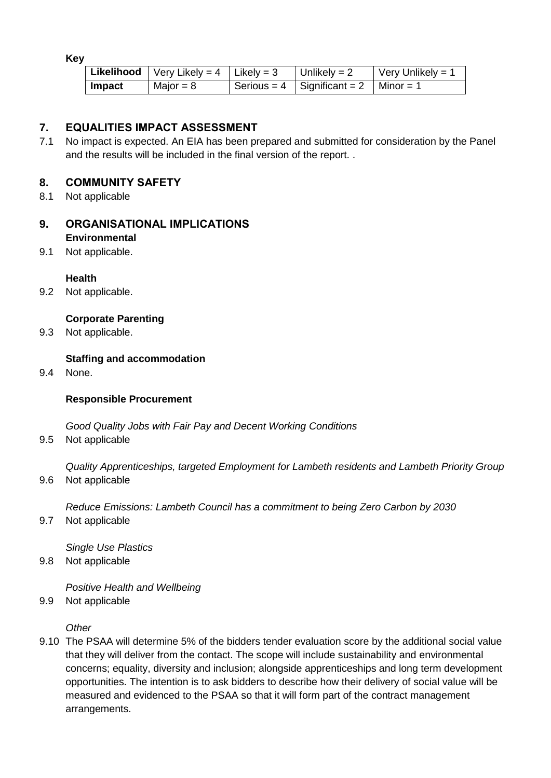**Key**

|        | <b>Likelihood</b>   Very Likely = $4$   Likely = $3$ | Unlikely = $2$                            | $\sqrt{\frac{1}{1}}$ Very Unlikely = 1 |
|--------|------------------------------------------------------|-------------------------------------------|----------------------------------------|
| Impact | Major = $8$                                          | Serious = 4   Significant = 2   Minor = 1 |                                        |

## **7. EQUALITIES IMPACT ASSESSMENT**

7.1 No impact is expected. An EIA has been prepared and submitted for consideration by the Panel and the results will be included in the final version of the report. .

## **8. COMMUNITY SAFETY**

8.1 Not applicable

#### **9. ORGANISATIONAL IMPLICATIONS Environmental**

9.1 Not applicable.

#### **Health**

9.2 Not applicable.

### **Corporate Parenting**

9.3 Not applicable.

#### **Staffing and accommodation**

9.4 None.

#### **Responsible Procurement**

*Good Quality Jobs with Fair Pay and Decent Working Conditions*

9.5 Not applicable

*Quality Apprenticeships, targeted Employment for Lambeth residents and Lambeth Priority Group* 9.6 Not applicable

*Reduce Emissions: Lambeth Council has a commitment to being Zero Carbon by 2030*

9.7 Not applicable

*Single Use Plastics*

9.8 Not applicable

*Positive Health and Wellbeing* 

9.9 Not applicable

*Other* 

9.10 The PSAA will determine 5% of the bidders tender evaluation score by the additional social value that they will deliver from the contact. The scope will include sustainability and environmental concerns; equality, diversity and inclusion; alongside apprenticeships and long term development opportunities. The intention is to ask bidders to describe how their delivery of social value will be measured and evidenced to the PSAA so that it will form part of the contract management arrangements.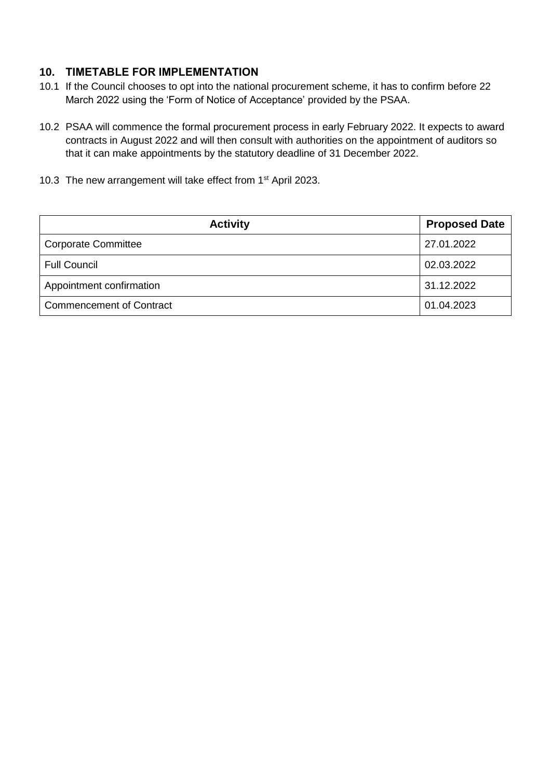## **10. TIMETABLE FOR IMPLEMENTATION**

- 10.1 If the Council chooses to opt into the national procurement scheme, it has to confirm before 22 March 2022 using the 'Form of Notice of Acceptance' provided by the PSAA.
- 10.2 PSAA will commence the formal procurement process in early February 2022. It expects to award contracts in August 2022 and will then consult with authorities on the appointment of auditors so that it can make appointments by the statutory deadline of 31 December 2022.
- 10.3 The new arrangement will take effect from 1<sup>st</sup> April 2023.

| <b>Activity</b>                 | <b>Proposed Date</b> |
|---------------------------------|----------------------|
| <b>Corporate Committee</b>      | 27.01.2022           |
| <b>Full Council</b>             | 02.03.2022           |
| Appointment confirmation        | 31.12.2022           |
| <b>Commencement of Contract</b> | 01.04.2023           |